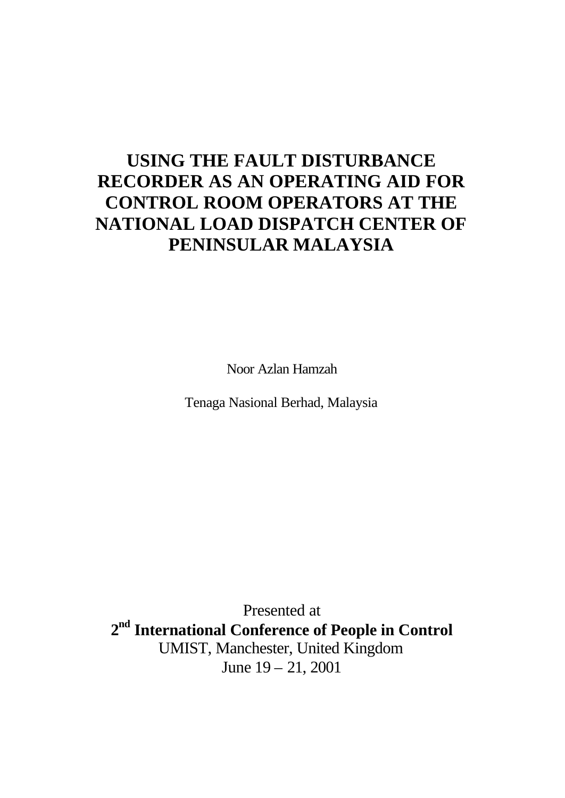# **USING THE FAULT DISTURBANCE RECORDER AS AN OPERATING AID FOR CONTROL ROOM OPERATORS AT THE NATIONAL LOAD DISPATCH CENTER OF PENINSULAR MALAYSIA**

Noor Azlan Hamzah

Tenaga Nasional Berhad, Malaysia

Presented at **2 nd International Conference of People in Control** UMIST, Manchester, United Kingdom June 19 – 21, 2001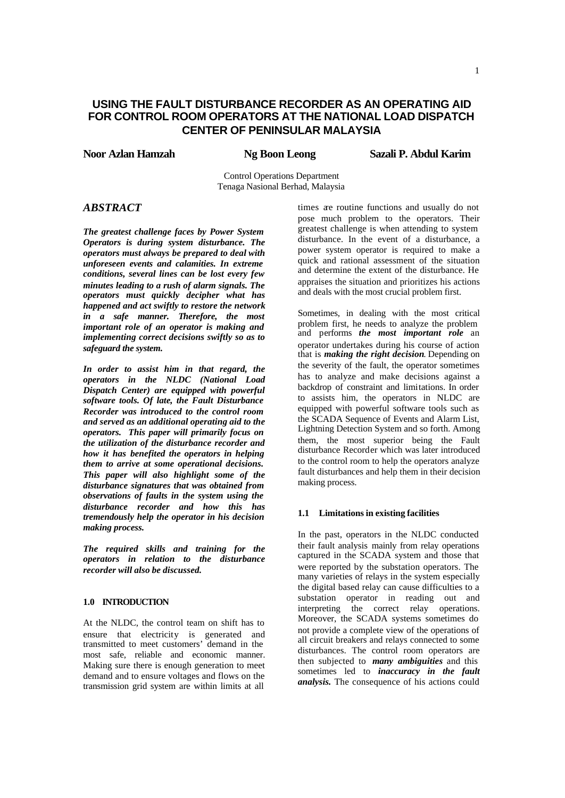# **USING THE FAULT DISTURBANCE RECORDER AS AN OPERATING AID FOR CONTROL ROOM OPERATORS AT THE NATIONAL LOAD DISPATCH CENTER OF PENINSULAR MALAYSIA**

**Noor Azlan Hamzah Ng Boon Leong Sazali P. Abdul Karim**

Control Operations Department Tenaga Nasional Berhad, Malaysia

# *ABSTRACT*

*The greatest challenge faces by Power System Operators is during system disturbance. The operators must always be prepared to deal with unforeseen events and calamities. In extreme conditions, several lines can be lost every few minutes leading to a rush of alarm signals. The operators must quickly decipher what has happened and act swiftly to restore the network in a safe manner. Therefore, the most important role of an operator is making and implementing correct decisions swiftly so as to safeguard the system.*

*In order to assist him in that regard, the operators in the NLDC (National Load Dispatch Center) are equipped with powerful software tools. Of late, the Fault Disturbance Recorder was introduced to the control room and served as an additional operating aid to the operators. This paper will primarily focus on the utilization of the disturbance recorder and how it has benefited the operators in helping them to arrive at some operational decisions. This paper will also highlight some of the disturbance signatures that was obtained from observations of faults in the system using the disturbance recorder and how this has tremendously help the operator in his decision making process.* 

*The required skills and training for the operators in relation to the disturbance recorder will also be discussed.*

# **1.0 INTRODUCTION**

At the NLDC, the control team on shift has to ensure that electricity is generated and transmitted to meet customers' demand in the most safe, reliable and economic manner. Making sure there is enough generation to meet demand and to ensure voltages and flows on the transmission grid system are within limits at all

times are routine functions and usually do not pose much problem to the operators. Their greatest challenge is when attending to system disturbance. In the event of a disturbance, a power system operator is required to make a quick and rational assessment of the situation and determine the extent of the disturbance. He appraises the situation and prioritizes his actions and deals with the most crucial problem first.

Sometimes, in dealing with the most critical problem first, he needs to analyze the problem and performs *the most important role* an operator undertakes during his course of action that is *making the right decision*. Depending on the severity of the fault, the operator sometimes has to analyze and make decisions against a backdrop of constraint and limitations. In order to assists him, the operators in NLDC are equipped with powerful software tools such as the SCADA Sequence of Events and Alarm List, Lightning Detection System and so forth. Among them, the most superior being the Fault disturbance Recorder which was later introduced to the control room to help the operators analyze fault disturbances and help them in their decision making process.

## **1.1 Limitations in existing facilities**

In the past, operators in the NLDC conducted their fault analysis mainly from relay operations captured in the SCADA system and those that were reported by the substation operators. The many varieties of relays in the system especially the digital based relay can cause difficulties to a substation operator in reading out and interpreting the correct relay operations. Moreover, the SCADA systems sometimes do not provide a complete view of the operations of all circuit breakers and relays connected to some disturbances. The control room operators are then subjected to *many ambiguities* and this sometimes led to *inaccuracy in the fault analysis.* The consequence of his actions could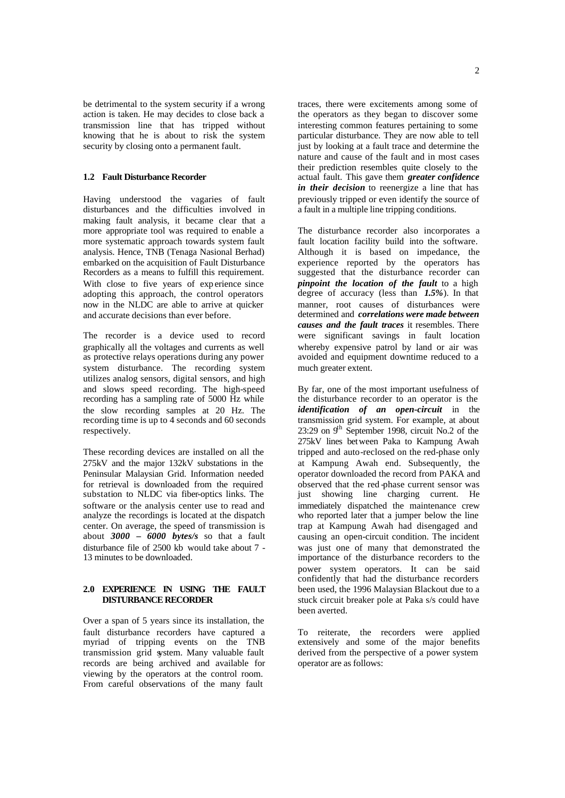be detrimental to the system security if a wrong action is taken. He may decides to close back a transmission line that has tripped without knowing that he is about to risk the system security by closing onto a permanent fault.

# **1.2 Fault Disturbance Recorder**

Having understood the vagaries of fault disturbances and the difficulties involved in making fault analysis, it became clear that a more appropriate tool was required to enable a more systematic approach towards system fault analysis. Hence, TNB (Tenaga Nasional Berhad) embarked on the acquisition of Fault Disturbance Recorders as a means to fulfill this requirement. With close to five years of experience since adopting this approach, the control operators now in the NLDC are able to arrive at quicker and accurate decisions than ever before.

The recorder is a device used to record graphically all the voltages and currents as well as protective relays operations during any power system disturbance. The recording system utilizes analog sensors, digital sensors, and high and slows speed recording. The high-speed recording has a sampling rate of 5000 Hz while the slow recording samples at 20 Hz. The recording time is up to 4 seconds and 60 seconds respectively.

These recording devices are installed on all the 275kV and the major 132kV substations in the Peninsular Malaysian Grid. Information needed for retrieval is downloaded from the required substation to NLDC via fiber-optics links. The software or the analysis center use to read and analyze the recordings is located at the dispatch center. On average, the speed of transmission is about *3000 – 6000 bytes/s* so that a fault disturbance file of 2500 kb would take about 7 - 13 minutes to be downloaded.

# **2.0 EXPERIENCE IN USING THE FAULT DISTURBANCE RECORDER**

Over a span of 5 years since its installation, the fault disturbance recorders have captured a myriad of tripping events on the TNB transmission grid system. Many valuable fault records are being archived and available for viewing by the operators at the control room. From careful observations of the many fault

traces, there were excitements among some of the operators as they began to discover some interesting common features pertaining to some particular disturbance. They are now able to tell just by looking at a fault trace and determine the nature and cause of the fault and in most cases their prediction resembles quite closely to the actual fault. This gave them *greater confidence in their decision* to reenergize a line that has previously tripped or even identify the source of a fault in a multiple line tripping conditions.

The disturbance recorder also incorporates a fault location facility build into the software. Although it is based on impedance, the experience reported by the operators has suggested that the disturbance recorder can *pinpoint the location of the fault* to a high degree of accuracy (less than *1.5%*). In that manner, root causes of disturbances were determined and *correlations were made between causes and the fault traces* it resembles. There were significant savings in fault location whereby expensive patrol by land or air was avoided and equipment downtime reduced to a much greater extent.

By far, one of the most important usefulness of the disturbance recorder to an operator is the *identification of an open-circuit* in the transmission grid system. For example, at about  $23:29$  on  $9<sup>th</sup>$  September 1998, circuit No.2 of the 275kV lines between Paka to Kampung Awah tripped and auto-reclosed on the red-phase only at Kampung Awah end. Subsequently, the operator downloaded the record from PAKA and observed that the red -phase current sensor was just showing line charging current. He immediately dispatched the maintenance crew who reported later that a jumper below the line trap at Kampung Awah had disengaged and causing an open-circuit condition. The incident was just one of many that demonstrated the importance of the disturbance recorders to the power system operators. It can be said confidently that had the disturbance recorders been used, the 1996 Malaysian Blackout due to a stuck circuit breaker pole at Paka s/s could have been averted.

To reiterate, the recorders were applied extensively and some of the major benefits derived from the perspective of a power system operator are as follows: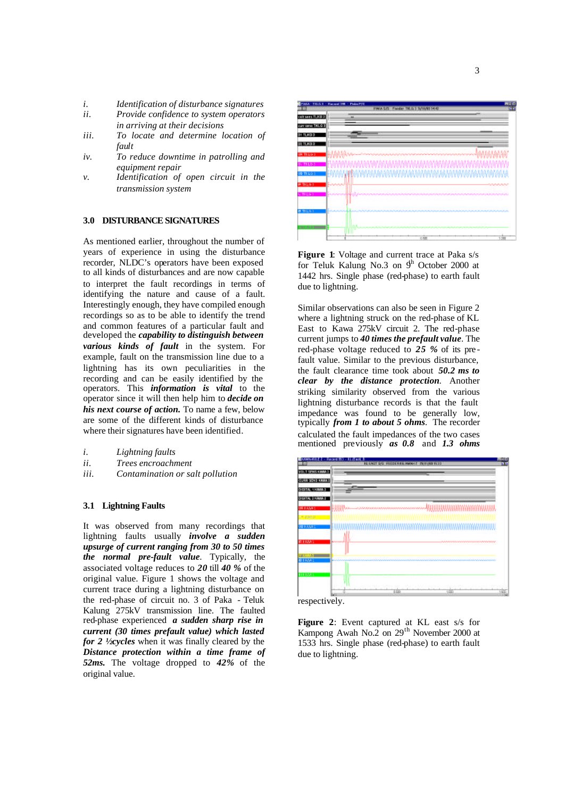- *i. Identification of disturbance signatures*
- *ii. Provide confidence to system operators in arriving at their decisions*
- *iii. To locate and determine location of fault*
- *iv. To reduce downtime in patrolling and equipment repair*
- *v. Identification of open circuit in the transmission system*

#### **3.0 DISTURBANCE SIGNATURES**

As mentioned earlier, throughout the number of years of experience in using the disturbance recorder, NLDC's operators have been exposed to all kinds of disturbances and are now capable to interpret the fault recordings in terms of identifying the nature and cause of a fault. Interestingly enough, they have compiled enough recordings so as to be able to identify the trend and common features of a particular fault and developed the *capability to distinguish between various kinds of fault* in the system. For example, fault on the transmission line due to a lightning has its own peculiarities in the recording and can be easily identified by the operators. This *information is vital* to the operator since it will then help him to *decide on his next course of action.* To name a few, below are some of the different kinds of disturbance where their signatures have been identified.

- *i. Lightning faults*
- *ii. Trees encroachment*
- *iii. Contamination or salt pollution*

# **3.1 Lightning Faults**

It was observed from many recordings that lightning faults usually *involve a sudden upsurge of current ranging from 30 to 50 times the normal pre-fault value*. Typically, the associated voltage reduces to *20* till *40 %* of the original value. Figure 1 shows the voltage and current trace during a lightning disturbance on the red-phase of circuit no. 3 of Paka - Teluk Kalung 275kV transmission line. The faulted red-phase experienced *a sudden sharp rise in current (30 times prefault value) which lasted for 2 ½ cycles* when it was finally cleared by the *Distance protection within a time frame of 52ms.* The voltage dropped to *42%* of the original value.



**Figure 1**: Voltage and current trace at Paka s/s for Teluk Kalung No.3 on  $9<sup>h</sup>$  October 2000 at 1442 hrs. Single phase (red-phase) to earth fault due to lightning.

Similar observations can also be seen in Figure 2 where a lightning struck on the red-phase of KL East to Kawa 275kV circuit 2. The red-phase current jumps to *40 times the prefault value*. The red-phase voltage reduced to *25 %* of its pre fault value. Similar to the previous disturbance, the fault clearance time took about *50.2 ms to clear by the distance protection*. Another striking similarity observed from the various lightning disturbance records is that the fault impedance was found to be generally low, typically *from 1 to about 5 ohms*. The recorder calculated the fault impedances of the two cases mentioned previously *as 0.8* and *1.3 ohms*





**Figure 2**: Event captured at KL east s/s for Kampong Awah No.2 on  $29<sup>th</sup>$  November 2000 at 1533 hrs. Single phase (red-phase) to earth fault due to lightning.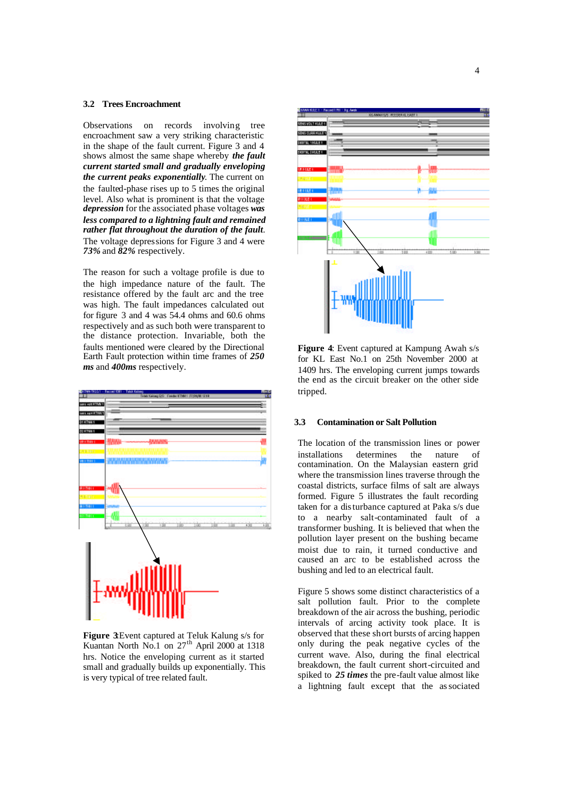#### **3.2 Trees Encroachment**

Observations on records involving tree encroachment saw a very striking characteristic in the shape of the fault current. Figure 3 and 4 shows almost the same shape whereby *the fault current started small and gradually enveloping the current peaks exponentially*. The current on the faulted-phase rises up to 5 times the original level. Also what is prominent is that the voltage *depression* for the associated phase voltages *was less compared to a lightning fault and remained rather flat throughout the duration of the fault*. The voltage depressions for Figure 3 and 4 were *73%* and *82%* respectively.

The reason for such a voltage profile is due to the high impedance nature of the fault. The resistance offered by the fault arc and the tree was high. The fault impedances calculated out for figure 3 and 4 was 54.4 ohms and 60.6 ohms respectively and as such both were transparent to the distance protection. Invariable, both the faults mentioned were cleared by the Directional Earth Fault protection within time frames of *250 ms* and *400ms* respectively.



**Figure 3:**Event captured at Teluk Kalung s/s for Kuantan North No.1 on 27<sup>th</sup> April 2000 at 1318 hrs. Notice the enveloping current as it started small and gradually builds up exponentially. This is very typical of tree related fault.



**Figure 4:** Event captured at Kampung Awah s/s for KL East No.1 on 25th November 2000 at 1409 hrs. The enveloping current jumps towards the end as the circuit breaker on the other side tripped.

#### **3.3 Contamination or Salt Pollution**

The location of the transmission lines or power installations determines the nature of contamination. On the Malaysian eastern grid where the transmission lines traverse through the coastal districts, surface films of salt are always formed. Figure 5 illustrates the fault recording taken for a disturbance captured at Paka s/s due to a nearby salt-contaminated fault of a transformer bushing. It is believed that when the pollution layer present on the bushing became moist due to rain, it turned conductive and caused an arc to be established across the bushing and led to an electrical fault.

Figure 5 shows some distinct characteristics of a salt pollution fault. Prior to the complete breakdown of the air across the bushing, periodic intervals of arcing activity took place. It is observed that these short bursts of arcing happen only during the peak negative cycles of the current wave. Also, during the final electrical breakdown, the fault current short-circuited and spiked to *25 times* the pre-fault value almost like a lightning fault except that the associated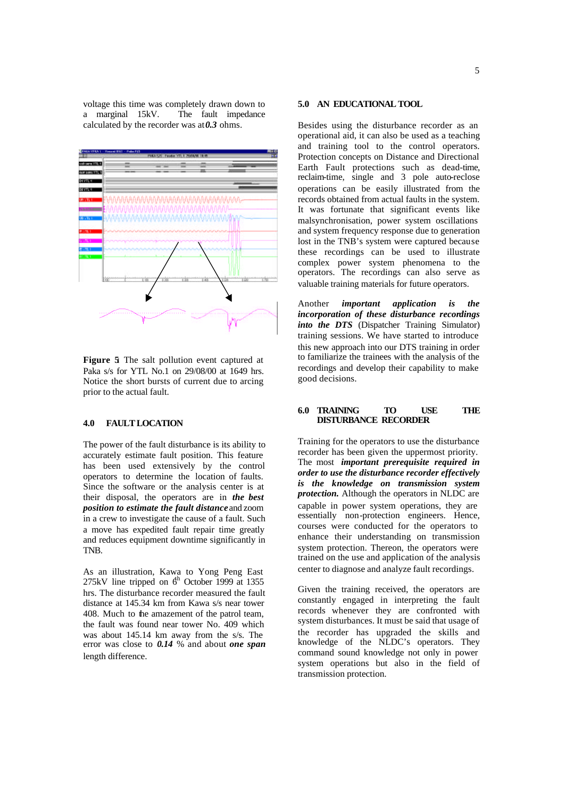voltage this time was completely drawn down to a marginal 15kV. The fault impedance calculated by the recorder was  $at 0.3$  ohms.



**Figure 5**: The salt pollution event captured at Paka s/s for YTL No.1 on 29/08/00 at 1649 hrs. Notice the short bursts of current due to arcing prior to the actual fault.

# **4.0 FAULT LOCATION**

The power of the fault disturbance is its ability to accurately estimate fault position. This feature has been used extensively by the control operators to determine the location of faults. Since the software or the analysis center is at their disposal, the operators are in *the best position to estimate the fault distance* and zoom in a crew to investigate the cause of a fault. Such a move has expedited fault repair time greatly and reduces equipment downtime significantly in TNB.

As an illustration, Kawa to Yong Peng East 275kV line tripped on  $6<sup>h</sup>$  October 1999 at 1355 hrs. The disturbance recorder measured the fault distance at 145.34 km from Kawa s/s near tower 408. Much to the amazement of the patrol team, the fault was found near tower No. 409 which was about 145.14 km away from the s/s. The error was close to *0.14* % and about *one span* length difference.

## **5.0 AN EDUCATIONAL TOOL**

Besides using the disturbance recorder as an operational aid, it can also be used as a teaching and training tool to the control operators. Protection concepts on Distance and Directional Earth Fault protections such as dead-time, reclaim-time, single and 3 pole auto-reclose operations can be easily illustrated from the records obtained from actual faults in the system. It was fortunate that significant events like malsynchronisation, power system oscillations and system frequency response due to generation lost in the TNB's system were captured because these recordings can be used to illustrate complex power system phenomena to the operators. The recordings can also serve as valuable training materials for future operators.

Another *important application is the incorporation of these disturbance recordings into the DTS* (Dispatcher Training Simulator) training sessions. We have started to introduce this new approach into our DTS training in order to familiarize the trainees with the analysis of the recordings and develop their capability to make good decisions.

## **6.0 TRAINING TO USE THE DISTURBANCE RECORDER**

Training for the operators to use the disturbance recorder has been given the uppermost priority. The most *important prerequisite required in order to use the disturbance recorder effectively is the knowledge on transmission system protection.* Although the operators in NLDC are capable in power system operations, they are essentially non-protection engineers. Hence, courses were conducted for the operators to enhance their understanding on transmission system protection. Thereon, the operators were trained on the use and application of the analysis center to diagnose and analyze fault recordings.

Given the training received, the operators are constantly engaged in interpreting the fault records whenever they are confronted with system disturbances. It must be said that usage of the recorder has upgraded the skills and knowledge of the NLDC's operators. They command sound knowledge not only in power system operations but also in the field of transmission protection.